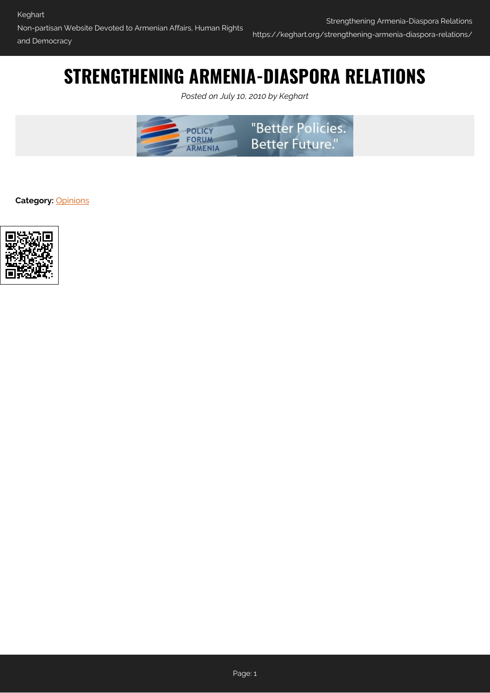# **STRENGTHENING ARMENIA-DIASPORA RELATIONS**

*Posted on July 10, 2010 by Keghart*



**Category:** [Opinions](https://keghart.org/category/opinions/)

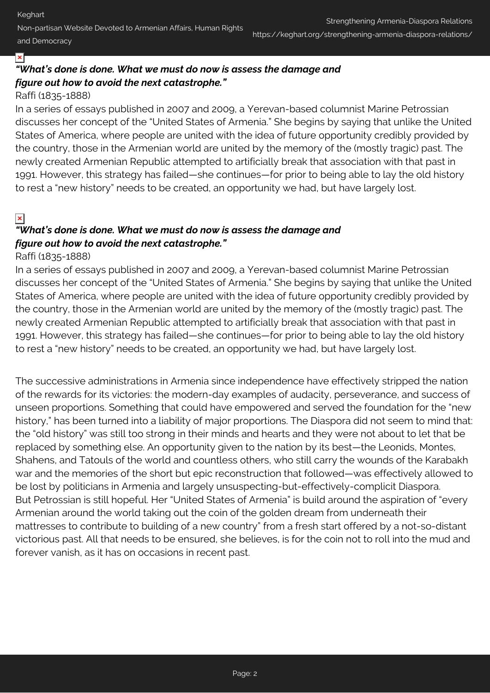Non-partisan Website Devoted to Armenian Affairs, Human Rights and Democracy

#### ×

# *"What's done is done. What we must do now is assess the damage and figure out how to avoid the next catastrophe."*

### Raffi (1835-1888)

In a series of essays published in 2007 and 2009, a Yerevan-based columnist Marine Petrossian discusses her concept of the "United States of Armenia." She begins by saying that unlike the United States of America, where people are united with the idea of future opportunity credibly provided by the country, those in the Armenian world are united by the memory of the (mostly tragic) past. The newly created Armenian Republic attempted to artificially break that association with that past in 1991. However, this strategy has failed—she continues—for prior to being able to lay the old history to rest a "new history" needs to be created, an opportunity we had, but have largely lost.

## $\pmb{\times}$

# *"What's done is done. What we must do now is assess the damage and figure out how to avoid the next catastrophe."*

#### Raffi (1835-1888)

In a series of essays published in 2007 and 2009, a Yerevan-based columnist Marine Petrossian discusses her concept of the "United States of Armenia." She begins by saying that unlike the United States of America, where people are united with the idea of future opportunity credibly provided by the country, those in the Armenian world are united by the memory of the (mostly tragic) past. The newly created Armenian Republic attempted to artificially break that association with that past in 1991. However, this strategy has failed—she continues—for prior to being able to lay the old history to rest a "new history" needs to be created, an opportunity we had, but have largely lost.

The successive administrations in Armenia since independence have effectively stripped the nation of the rewards for its victories: the modern-day examples of audacity, perseverance, and success of unseen proportions. Something that could have empowered and served the foundation for the "new history," has been turned into a liability of major proportions. The Diaspora did not seem to mind that: the "old history" was still too strong in their minds and hearts and they were not about to let that be replaced by something else. An opportunity given to the nation by its best—the Leonids, Montes, Shahens, and Tatouls of the world and countless others, who still carry the wounds of the Karabakh war and the memories of the short but epic reconstruction that followed—was effectively allowed to be lost by politicians in Armenia and largely unsuspecting-but-effectively-complicit Diaspora. But Petrossian is still hopeful. Her "United States of Armenia" is build around the aspiration of "every Armenian around the world taking out the coin of the golden dream from underneath their mattresses to contribute to building of a new country" from a fresh start offered by a not-so-distant victorious past. All that needs to be ensured, she believes, is for the coin not to roll into the mud and forever vanish, as it has on occasions in recent past.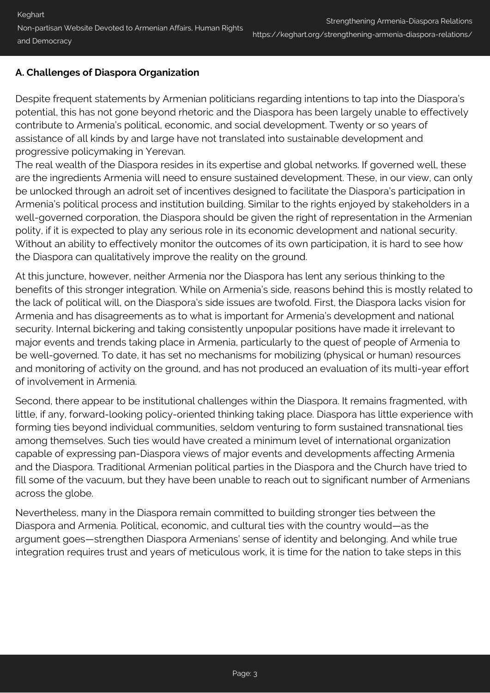# **A. Challenges of Diaspora Organization**

Despite frequent statements by Armenian politicians regarding intentions to tap into the Diaspora's potential, this has not gone beyond rhetoric and the Diaspora has been largely unable to effectively contribute to Armenia's political, economic, and social development. Twenty or so years of assistance of all kinds by and large have not translated into sustainable development and progressive policymaking in Yerevan.

The real wealth of the Diaspora resides in its expertise and global networks. If governed well, these are the ingredients Armenia will need to ensure sustained development. These, in our view, can only be unlocked through an adroit set of incentives designed to facilitate the Diaspora's participation in Armenia's political process and institution building. Similar to the rights enjoyed by stakeholders in a well-governed corporation, the Diaspora should be given the right of representation in the Armenian polity, if it is expected to play any serious role in its economic development and national security. Without an ability to effectively monitor the outcomes of its own participation, it is hard to see how the Diaspora can qualitatively improve the reality on the ground.

At this juncture, however, neither Armenia nor the Diaspora has lent any serious thinking to the benefits of this stronger integration. While on Armenia's side, reasons behind this is mostly related to the lack of political will, on the Diaspora's side issues are twofold. First, the Diaspora lacks vision for Armenia and has disagreements as to what is important for Armenia's development and national security. Internal bickering and taking consistently unpopular positions have made it irrelevant to major events and trends taking place in Armenia, particularly to the quest of people of Armenia to be well-governed. To date, it has set no mechanisms for mobilizing (physical or human) resources and monitoring of activity on the ground, and has not produced an evaluation of its multi-year effort of involvement in Armenia.

Second, there appear to be institutional challenges within the Diaspora. It remains fragmented, with little, if any, forward-looking policy-oriented thinking taking place. Diaspora has little experience with forming ties beyond individual communities, seldom venturing to form sustained transnational ties among themselves. Such ties would have created a minimum level of international organization capable of expressing pan-Diaspora views of major events and developments affecting Armenia and the Diaspora. Traditional Armenian political parties in the Diaspora and the Church have tried to fill some of the vacuum, but they have been unable to reach out to significant number of Armenians across the globe.

Nevertheless, many in the Diaspora remain committed to building stronger ties between the Diaspora and Armenia. Political, economic, and cultural ties with the country would—as the argument goes—strengthen Diaspora Armenians' sense of identity and belonging. And while true integration requires trust and years of meticulous work, it is time for the nation to take steps in this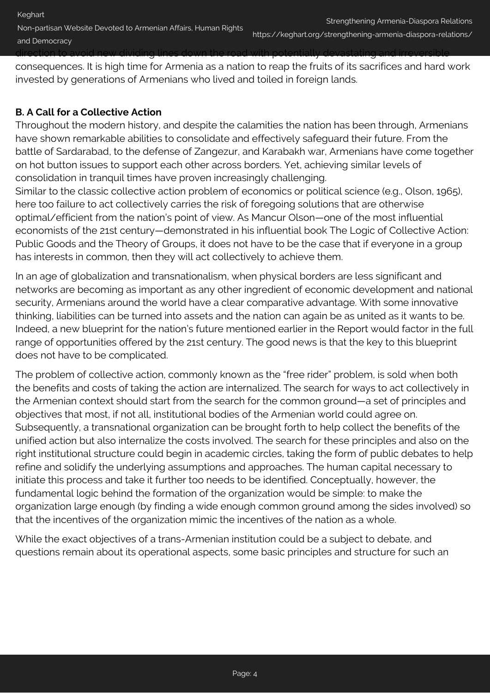#### and Democracy

direction to avoid new dividing lines down the road with potentially devastating and irreversible

consequences. It is high time for Armenia as a nation to reap the fruits of its sacrifices and hard work invested by generations of Armenians who lived and toiled in foreign lands.

# **B. A Call for a Collective Action**

Throughout the modern history, and despite the calamities the nation has been through, Armenians have shown remarkable abilities to consolidate and effectively safeguard their future. From the battle of Sardarabad, to the defense of Zangezur, and Karabakh war, Armenians have come together on hot button issues to support each other across borders. Yet, achieving similar levels of consolidation in tranquil times have proven increasingly challenging.

Similar to the classic collective action problem of economics or political science (e.g., Olson, 1965), here too failure to act collectively carries the risk of foregoing solutions that are otherwise optimal/efficient from the nation's point of view. As Mancur Olson—one of the most influential economists of the 21st century—demonstrated in his influential book The Logic of Collective Action: Public Goods and the Theory of Groups, it does not have to be the case that if everyone in a group has interests in common, then they will act collectively to achieve them.

In an age of globalization and transnationalism, when physical borders are less significant and networks are becoming as important as any other ingredient of economic development and national security, Armenians around the world have a clear comparative advantage. With some innovative thinking, liabilities can be turned into assets and the nation can again be as united as it wants to be. Indeed, a new blueprint for the nation's future mentioned earlier in the Report would factor in the full range of opportunities offered by the 21st century. The good news is that the key to this blueprint does not have to be complicated.

The problem of collective action, commonly known as the "free rider" problem, is sold when both the benefits and costs of taking the action are internalized. The search for ways to act collectively in the Armenian context should start from the search for the common ground—a set of principles and objectives that most, if not all, institutional bodies of the Armenian world could agree on. Subsequently, a transnational organization can be brought forth to help collect the benefits of the unified action but also internalize the costs involved. The search for these principles and also on the right institutional structure could begin in academic circles, taking the form of public debates to help refine and solidify the underlying assumptions and approaches. The human capital necessary to initiate this process and take it further too needs to be identified. Conceptually, however, the fundamental logic behind the formation of the organization would be simple: to make the organization large enough (by finding a wide enough common ground among the sides involved) so that the incentives of the organization mimic the incentives of the nation as a whole.

While the exact objectives of a trans-Armenian institution could be a subject to debate, and questions remain about its operational aspects, some basic principles and structure for such an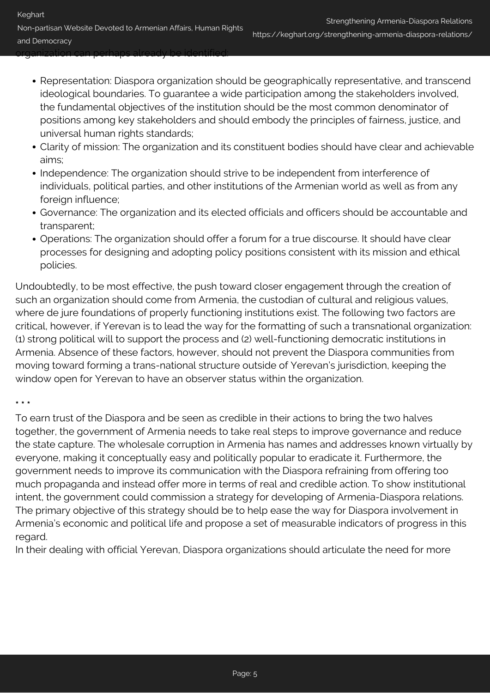organization can perhaps already be identified:

- Representation: Diaspora organization should be geographically representative, and transcend ideological boundaries. To guarantee a wide participation among the stakeholders involved, the fundamental objectives of the institution should be the most common denominator of positions among key stakeholders and should embody the principles of fairness, justice, and universal human rights standards;
- Clarity of mission: The organization and its constituent bodies should have clear and achievable aims;
- Independence: The organization should strive to be independent from interference of individuals, political parties, and other institutions of the Armenian world as well as from any foreign influence;
- Governance: The organization and its elected officials and officers should be accountable and transparent;
- Operations: The organization should offer a forum for a true discourse. It should have clear processes for designing and adopting policy positions consistent with its mission and ethical policies.

Undoubtedly, to be most effective, the push toward closer engagement through the creation of such an organization should come from Armenia, the custodian of cultural and religious values, where de jure foundations of properly functioning institutions exist. The following two factors are critical, however, if Yerevan is to lead the way for the formatting of such a transnational organization: (1) strong political will to support the process and (2) well-functioning democratic institutions in Armenia. Absence of these factors, however, should not prevent the Diaspora communities from moving toward forming a trans-national structure outside of Yerevan's jurisdiction, keeping the window open for Yerevan to have an observer status within the organization.

#### **\* \* \***

To earn trust of the Diaspora and be seen as credible in their actions to bring the two halves together, the government of Armenia needs to take real steps to improve governance and reduce the state capture. The wholesale corruption in Armenia has names and addresses known virtually by everyone, making it conceptually easy and politically popular to eradicate it. Furthermore, the government needs to improve its communication with the Diaspora refraining from offering too much propaganda and instead offer more in terms of real and credible action. To show institutional intent, the government could commission a strategy for developing of Armenia-Diaspora relations. The primary objective of this strategy should be to help ease the way for Diaspora involvement in Armenia's economic and political life and propose a set of measurable indicators of progress in this regard.

In their dealing with official Yerevan, Diaspora organizations should articulate the need for more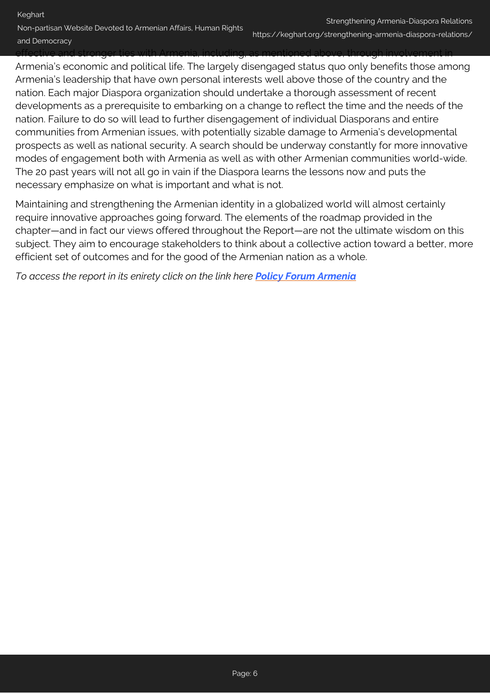Non-partisan Website Devoted to Armenian Affairs, Human Rights and Democracy

effective and stronger ties with Armenia, including, as mentioned above, through involvement in

Armenia's economic and political life. The largely disengaged status quo only benefits those among Armenia's leadership that have own personal interests well above those of the country and the nation. Each major Diaspora organization should undertake a thorough assessment of recent developments as a prerequisite to embarking on a change to reflect the time and the needs of the nation. Failure to do so will lead to further disengagement of individual Diasporans and entire communities from Armenian issues, with potentially sizable damage to Armenia's developmental prospects as well as national security. A search should be underway constantly for more innovative modes of engagement both with Armenia as well as with other Armenian communities world-wide. The 20 past years will not all go in vain if the Diaspora learns the lessons now and puts the necessary emphasize on what is important and what is not.

Maintaining and strengthening the Armenian identity in a globalized world will almost certainly require innovative approaches going forward. The elements of the roadmap provided in the chapter—and in fact our views offered throughout the Report—are not the ultimate wisdom on this subject. They aim to encourage stakeholders to think about a collective action toward a better, more efficient set of outcomes and for the good of the Armenian nation as a whole.

*To access the report in its enirety click on the link here [Policy Forum Armenia](http://www.pf-armenia.org/)*